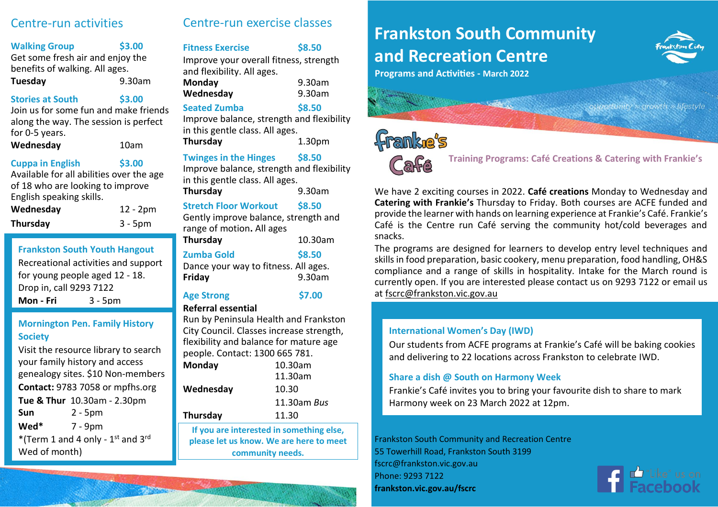## Centre-run activities

#### **Walking Group** \$3.00

Get some fresh air and enjoy the benefits of walking. All ages. **Tuesday** 9.30am

#### **Stories at South \$3.00**

Join us for some fun and make friends along the way. The session is perfect for 0-5 years.

#### **Wednesday** 10am

#### **Cuppa in English \$3.00**

Available for all abilities over the age of 18 who are looking to improve English speaking skills.

| Wednesday | $12 - 2pm$ |
|-----------|------------|
| Thursday  | $3 - 5$ pm |

| <b>Frankston South Youth Hangout</b> |  |  |
|--------------------------------------|--|--|
|--------------------------------------|--|--|

| Recreational activities and support |            |  |
|-------------------------------------|------------|--|
| for young people aged 12 - 18.      |            |  |
| Drop in, call 9293 7122             |            |  |
| Mon - Fri                           | $3 - 5$ pm |  |

#### 0 **Mornington Pen. Family History Society**

Visit the resource library to search your family history and access genealogy sites. \$10 Non-members **Contact:** 9783 7058 or mpfhs.org **Tue & Thur** 10.30am - 2.30pm **Sun** 2 - 5pm **Wed\*** 7 - 9pm  $*(Term 1 and 4 only - 1<sup>st</sup> and 3<sup>rd</sup>)$ Wed of month)

## Centre-run exercise classes

### **Fitness Exercise \$8.50**

Improve your overall fitness, strength and flexibility. All ages. **Monday** 9.30am

| .         |        |
|-----------|--------|
| Wednesday | 9.30am |
|           |        |

#### **Seated Zumba \$8.50**

Improve balance, strength and flexibility in this gentle class. All ages. **Thursday** 1.30pm

#### **Twinges in the Hinges \$8.50**

Improve balance, strength and flexibility in this gentle class. All ages.

**Thursday** 9.30am

#### **Stretch Floor Workout \$8.50**

Gently improve balance, strength and range of motion**.** All ages

| 10.30am                              |
|--------------------------------------|
| \$8.50                               |
| Dance your way to fitness. All ages. |
| 9.30am                               |
|                                      |

#### **Age Strong \$7.00**

#### **Referral essential**

Run by Peninsula Health and Frankston City Council. Classes increase strength, flexibility and balance for mature age people. Contact: 1300 665 781.

| Monday                               | 10.30am               |
|--------------------------------------|-----------------------|
|                                      | 11.30am               |
| Wednesday                            | 10.30                 |
|                                      | $11.30$ am <i>Bus</i> |
| <b>Thursday</b>                      | 11.30                 |
| If you are interested in comething a |                       |

**If you are interested in something else, please let us know. We are here to meet community needs.**

## **Frankston South Community and Recreation Centre**



**Programs and Activities - March 2022**

# **Franke's**



 **Training Programs: Café Creations & Catering with Frankie's**

We have 2 exciting courses in 2022. **Café creations** Monday to Wednesday and **Catering with Frankie's** Thursday to Friday. Both courses are ACFE funded and provide the learner with hands on learning experience at Frankie's Café. Frankie's Café is the Centre run Café serving the community hot/cold beverages and snacks.

The programs are designed for learners to develop entry level techniques and skills in food preparation, basic cookery, menu preparation, food handling, OH&S compliance and a range of skills in hospitality. Intake for the March round is currently open. If you are interested please contact us on 9293 7122 or email us a[t fscrc@frankston.vic.gov.au](mailto:fscrc@frankston.vic.gov.au)

#### **International Women's Day (IWD)**

Our students from ACFE programs at Frankie's Café will be baking cookies and delivering to 22 locations across Frankston to celebrate IWD.

#### **Share a dish @ South on Harmony Week**

Frankie's Café invites you to bring your favourite dish to share to mark Harmony week on 23 March 2022 at 12pm.

Frankston South Community and Recreation Centre 55 Towerhill Road, Frankston South 3199 fscrc@frankston.vic.gov.au Phone: 9293 7122 **frankston.vic.gov.au/fscrc**